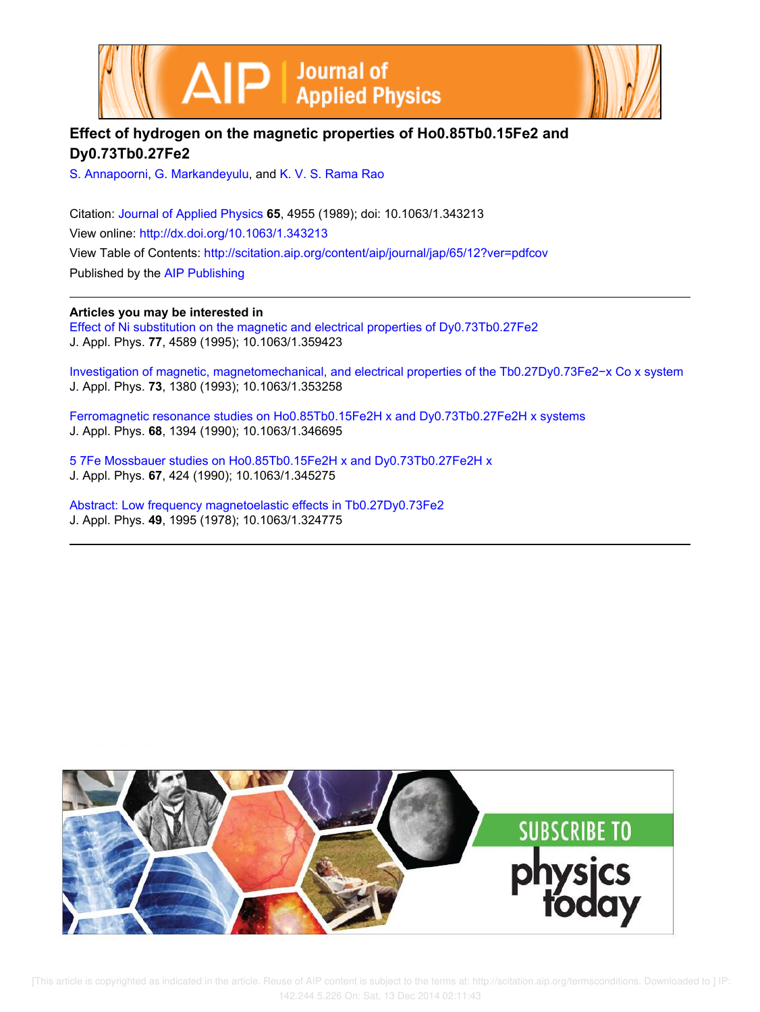



## **Effect of hydrogen on the magnetic properties of Ho0.85Tb0.15Fe2 and Dy0.73Tb0.27Fe2**

S. Annapoorni, G. Markandeyulu, and K. V. S. Rama Rao

Citation: Journal of Applied Physics **65**, 4955 (1989); doi: 10.1063/1.343213 View online: http://dx.doi.org/10.1063/1.343213 View Table of Contents: http://scitation.aip.org/content/aip/journal/jap/65/12?ver=pdfcov

Published by the AIP Publishing

## **Articles you may be interested in**

Effect of Ni substitution on the magnetic and electrical properties of Dy0.73Tb0.27Fe2 J. Appl. Phys. **77**, 4589 (1995); 10.1063/1.359423

Investigation of magnetic, magnetomechanical, and electrical properties of the Tb0.27Dy0.73Fe2−x Co x system J. Appl. Phys. **73**, 1380 (1993); 10.1063/1.353258

Ferromagnetic resonance studies on Ho0.85Tb0.15Fe2H x and Dy0.73Tb0.27Fe2H x systems J. Appl. Phys. **68**, 1394 (1990); 10.1063/1.346695

5 7Fe Mossbauer studies on Ho0.85Tb0.15Fe2H x and Dy0.73Tb0.27Fe2H x J. Appl. Phys. **67**, 424 (1990); 10.1063/1.345275

Abstract: Low frequency magnetoelastic effects in Tb0.27Dy0.73Fe2 J. Appl. Phys. **49**, 1995 (1978); 10.1063/1.324775



[This article is copyrighted as indicated in the article. Reuse of AIP content is subject to the terms at: http://scitation.aip.org/termsconditions. Downloaded to ] IP: 142.244.5.226 On: Sat, 13 Dec 2014 02:11:43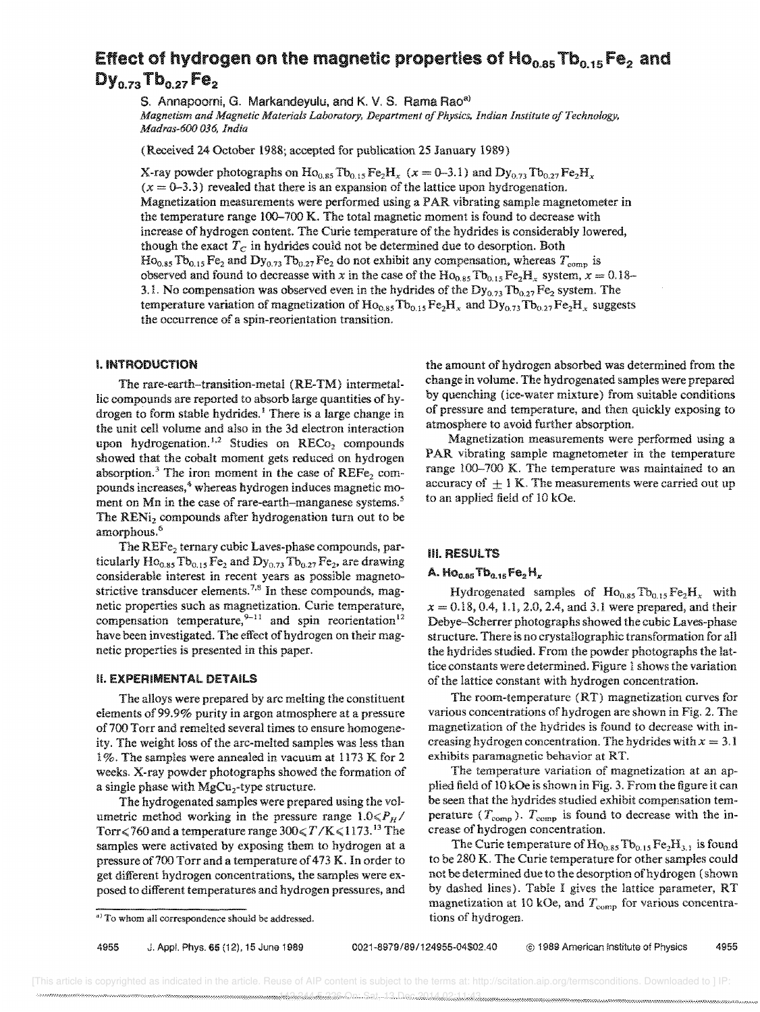# Effect of hydrogen on the magnetic propertIes of HOOo85 Tb<sup>o</sup> .15 Fe2 and  $\mathsf{Dy}_{0.73}$  Tb $_{0.27}$  Fe<sub>2</sub>

S. Annapoorni, G. Markandeyulu, and K. V. S. Rama Rao<sup>a)</sup> *Magnetism and Magnetic Materials Laboratory, Department of Physics, Indian Institute of Technology, Madras-600 036, India* 

(Received 24 October 1988; accepted for publication 25 January 1989)

X-ray powder photographs on  $\text{Ho}_{0.85} \text{To}_{0.15} \text{Fe}_2\text{H}_x$  ( $x = 0-3.1$ ) and  $\text{Dy}_{0.73} \text{To}_{0.27} \text{Fe}_2\text{H}_x$  $(x = 0-3.3)$  revealed that there is an expansion of the lattice upon hydrogenation. Magnetization measurements were performed using a PAR vibrating sample magnetometer in the temperature range 100-700 K. The total magnetic moment is found to decrease with increase of hydrogen content. The Curie temperature of the hydrides is considerably lowered, though the exact  $T_C$  in hydrides could not be determined due to desorption. Both  $Ho<sub>0.85</sub> Tb<sub>0.15</sub> Fe<sub>2</sub> and Dy<sub>0.73</sub> Tb<sub>0.27</sub> Fe<sub>2</sub> do not exhibit any compensation, whereas  $T<sub>comp</sub>$  is$ observed and found to decreasse with x in the case of the  $Ho_{0.85}Tb_{0.15}Fe_2H_x$  system,  $x = 0.18-$ 3.1. No compensation was observed even in the hydrides of the  $Dy_{0.73}Tb_{0.27}Fe_2$  system. The temperature variation of magnetization of  $Ho_{0.85}Tb_{0.15}Fe<sub>2</sub>H<sub>x</sub>$  and  $Dy_{0.73}Tb_{0.27}Fe<sub>2</sub>H<sub>x</sub>$  suggests the occurrence of a spin-reorientation transition.

#### I. INTRODUCTION

The rare-earth-transition-metal (RE-TM) intermetaIlic compounds are reported to absorb large quantities of hydrogen to form stable hydrides.<sup>1</sup> There is a large change in the unit cell volume and also in the 3d electron interaction upon hydrogenation.<sup>1,2</sup> Studies on  $RECo<sub>2</sub>$  compounds showed that the cobalt moment gets reduced on hydrogen absorption.<sup>3</sup> The iron moment in the case of  $REF_{2}$  compounds increases,<sup>4</sup> whereas hydrogen induces magnetic moment on Mn in the case of rare-earth-manganese systems.<sup>5</sup> The RENi<sub>2</sub> compounds after hydrogenation turn out to be amorphous. <sup>6</sup>

The REFe<sub>2</sub> ternary cubic Laves-phase compounds, particularly  $Ho_{0.85}Tb_{0.15}Fe_2$  and  $Dy_{0.73}Tb_{0.27}Fe_2$ , are drawing considerable interest in recent years as possible magnetostrictive transducer elements.<sup>7,8</sup> In these compounds, magnetic properties such as magnetization. Curie temperature, compensation temperature,<sup>9-11</sup> and spin reorientation<sup>12</sup> have been investigated. The effect of hydrogen on their magnetic properties is presented in this paper.

#### **H. EXPERIMENTAL DETAILS**

The alloys were prepared by arc melting the constituent elements of99.9% purity in argon atmosphere at a pressure of 700 Torr and remelted several times to ensure homogeneity. The weight loss of the arc-melted samples was less than 1%. The samples were annealed in vacuum at 1173 K for 2 weeks. X-ray powder photographs showed the formation of a single phase with MgCu<sub>2</sub>-type structure.

The hydrogenated samples were prepared using the volumetric method working in the pressure range  $1.0 \leq P_H$ / Torr $\leq$ 760 and a temperature range  $300 \leq T/K \leq 1173$ .<sup>13</sup> The samples were activated by exposing them to hydrogen at a pressure of 700 Torr and a temperature of 473 K. In order to get different hydrogen concentrations, the samples were exposed to different temperatures and hydrogen pressures, and the amount of hydrogen absorbed was determined from the change in volume. The hydrogenated samples were prepared by quenching (ice-water mixture) from suitable conditions of pressure and temperature, and then quickly exposing to atmosphere to avoid further absorption.

Magnetization measurements were performed using a PAR vibrating sample magnetometer in the temperature range 100-700 K. The temperature was maintained to an accuracy of  $+1 K$ . The measurements were carried out up to an applied field of 10 kOe.

#### iii. RESULTS

## A.  $Ho<sub>0.85</sub>$  Tb<sub>o,15</sub> Fe<sub>2</sub>H<sub>K</sub>

Hydrogenated samples of  $Ho_{0.85}Tb_{0.15}Fe_2H_x$  with  $x = 0.18, 0.4, 1.1, 2.0, 2.4,$  and 3.1 were prepared, and their Debye-Scherrer photographs showed the cubic Laves-phase structure. There is no crystallographic transformation for all the hydrides studied. From the powder photographs the lattice constants were determined. Figure 1 shows the variation of the lattice constant with hydrogen concentration.

The room-temperature  $(RT)$  magnetization curves for various concentrations of hydrogen are shown in Fig. 2. The magnetization of the hydrides is found to decrease with increasing hydrogen concentration. The hydrides with  $x = 3.1$ exhibits paramagnetic behavior at RT.

The temperature variation of magnetization at an applied field of 10 kOe is shown in Fig. 3. From the figure it can be seen that the hydrides studied exhibit compensation temperature ( $T_{\text{comp}}$ ).  $T_{\text{comp}}$  is found to decrease with the increase of hydrogen concentration.

The Curie temperature of  $\text{Ho}_{0.85}$  Tb $_{0.15}$  Fe<sub>2</sub>H<sub>3,1</sub> is found to be 280 K. The Curie temperature for other samples could not be determined due to the desorption of hydrogen (shown by dashed lines). Table I gives the lattice parameter, RT magnetization at 10 kOe, and  $T_{\text{comp}}$  for various concentrations of hydrogen.

a) To whom all correspondence should be addressed.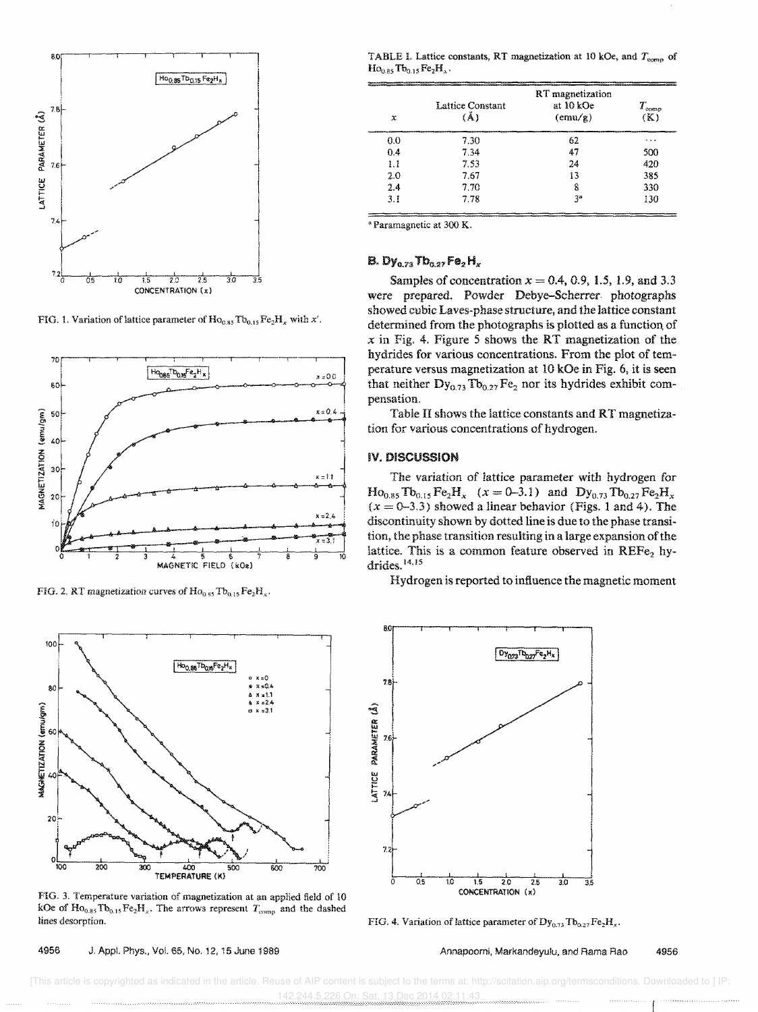

FIG. 1. Variation of lattice parameter of  $Ho<sub>0.85</sub> Tb<sub>0.15</sub> Fe<sub>2</sub>H<sub>x</sub> with x'.$ 



FIG. 2. RT magnetization curves of  $Ho<sub>0.85</sub> Tb<sub>0.15</sub> Fe<sub>2</sub>H<sub>x</sub>$ .



FIG. 3. Temperature variation of magnetization at an applied field of 10 kOe of  $\text{Ho}_{0.35}\text{To}_{0.15}\text{Fe}_{2}\text{H}_{x}$ . The arrows represent  $T_{\text{comp}}$  and the dashed lines desorption.

4956 J. Appl. Phys., Vo!. 65, No. 12, 15 June 1989

TABLE I. Lattice constants, RT magnetization at 10 kOe, and  $T_{\text{comp}}$  of  $Ho_{0.85}Tb_{0.15}Fe_2H_x.$ 

| x   | RT magnetization        |                               |                       |  |
|-----|-------------------------|-------------------------------|-----------------------|--|
|     | Lattice Constant<br>(Ă) | at 10 kOe<br>$(\text{emu/g})$ | $T_{\rm comp}$<br>(K) |  |
| 0.0 | 7.30                    | 62                            | .                     |  |
| 0.4 | 7.34                    | 47                            | 500                   |  |
| 1.1 | 7.53                    | 24                            | 420                   |  |
| 2.0 | 7.67                    | 13                            | 385                   |  |
| 2.4 | 7.70                    | 8                             | 330                   |  |
| 3.1 | 7.78                    | şз                            | 130                   |  |

<sup>a</sup> Paramagnetic at 300 K.

## B. Dy<sub>0.73</sub> Tb<sub>0.27</sub> Fe<sub>2</sub> H<sub>x</sub>

Samples of concentration *x* = 0.4, 0.9, 1.5, 1.9, and 3.3 were prepared. Powder Debye-Scherrer photographs showed cubic Laves-phase structure, and the lattice constant determined from the photographs is plotted as a function of *x* in Fig. 4, Figure 5 shows the RT magnetization of the hydrides for various concentrations. From the plot of perature versus magnetization at 10 kOe in Fig, 6, it is seen that neither  $\text{Dy}_{0.73} \text{Tb}_{0.27} \text{Fe}_2$  nor its hydrides exhibit compensation,

Table II shows the lattice constants and RT magnetization for various concentrations of hydrogen.

#### **IV. DISCUSSION**

The variation of lattice parameter with hydrogen for  $Ho_{0.85} To_{0.15} Fe_2H_x$   $(x = 0-3.1)$  and  $Dy_{0.73} Tb_{0.27} Fe_2H_x$  $(x = 0-3.3)$  showed a linear behavior (Figs. 1 and 4). The discontinuity shown by dotted line is due to the phase transition, the phase transition resulting in a large expansion of the lattice. This is a common feature observed in  $REF_{e_2}$  hydrides. $14,15$ 

Hydrogen is reported to influence the magnetic moment



FIG. 4. Variation of lattice parameter of  $Dy_{0.73}Tb_{0.27}Fe<sub>2</sub>H<sub>x</sub>$ .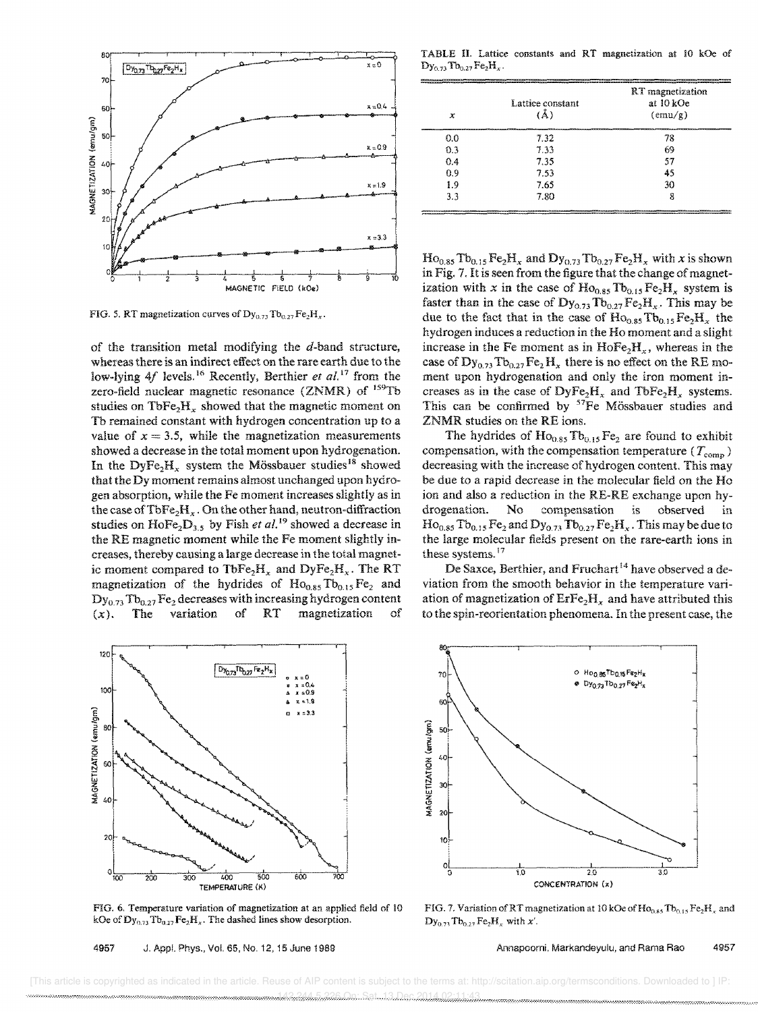

FIG. 5. RT magnetization curves of  $Dy_{0.73}Tb_{0.27}Fe<sub>2</sub>H<sub>x</sub>$ .

of the transition metal modifying the  $d$ -band structure, whereas there is an indirect effect on the rare earth due to the low-lying 4f levels.<sup>16</sup> Recently, Berthier *et al.*<sup>17</sup> from the zero-field nuclear magnetic resonance (ZNMR) of <sup>159</sup>Tb studies on TbFe<sub>2</sub>H<sub>x</sub> showed that the magnetic moment on Tb remained constant with hydrogen concentration up to a value of  $x = 3.5$ , while the magnetization measurements showed a decrease in the total moment upon hydrogenation. In the DyFe<sub>2</sub>H<sub>x</sub> system the Mössbauer studies<sup>18</sup> showed that the Dy moment remains almost unchanged upon hydrogen absorption, while the Fe moment increases slightly as in the case of  $TbFe<sub>2</sub>H<sub>x</sub>$ . On the other hand, neutron-diffraction studies on  $\text{HoFe}_2\text{D}_{3.5}$  by Fish *et al.* <sup>19</sup> showed a decrease in the RE magnetic moment while the Fe moment slightly increases, thereby causing a large decrease in the total magnetic moment compared to  $\text{TbFe}_2H_x$  and  $\text{DyFe}_2H_x$ . The RT magnetization of the hydrides of  $Ho<sub>0.85</sub> To<sub>0.15</sub> Fe<sub>2</sub> and$  $Dy_{0.73} Tb_{0.27} Fe_2$  decreases with increasing hydrogen content  $(x)$ . The variation of RT magnetization of magnetization



FIG. 6. Temperature variation of magnetization at an applied field of 10 kOe of  $\mathbf{Dy}_{0.73}\mathrm{Te}_{0.27}\mathrm{Fe}_{2}\mathrm{H}_{x}$ . The dashed lines show desorption.

TABLE II. Lattice constants and RT magnetization at 10 kOe of  $\mathrm{Dy_{0.73}Tb_{0.27}Fe_2H_x}.$ 

| х   | Lattice constant<br>(Å) | RT magnetization<br>at 10 kOe<br>$(\text{emu/g})$ |
|-----|-------------------------|---------------------------------------------------|
| 0.0 | 7.32                    | 78                                                |
| 0.3 | 7.33                    | 69                                                |
| 0.4 | 7.35                    | 57                                                |
| 0.9 | 7.53                    | 45                                                |
| 1.9 | 7.65                    | 30                                                |
| 3.3 | 7.80                    | 8                                                 |

 $\text{Ho}_{0.85}$  Tb<sub>0.15</sub> Fe<sub>2</sub>H<sub>x</sub> and  $\text{Dy}_{0.73}$  Tb<sub>0.27</sub> Fe<sub>2</sub>H<sub>x</sub> with *x* is shown in Fig. 7. It is seen from the figure that the change of magnetization with *x* in the case of  $Ho<sub>0.85</sub> Tb<sub>0.15</sub> Fe<sub>2</sub>H<sub>x</sub>$  system is faster than in the case of  $\mathbf{Dy_{0.73}}\mathbf{Tb_{0.27}}\mathbf{Fe}_2\mathbf{H}_{\rm r}$ . This may be due to the fact that in the case of  $Ho<sub>0.85</sub> Tb<sub>0.15</sub> Fe<sub>2</sub>H<sub>x</sub>$  the hydrogen induces a reduction in the Ho moment and a slight increase in the Fe moment as in  $HoFe<sub>2</sub>H<sub>x</sub>$ , whereas in the case of  $\text{Dy}_{0.73} \text{To}_{0.27} \text{Fe}_2 \text{H}_x$  there is no effect on the RE moment upon hydrogenation and only the iron moment increases as in the case of  $\text{DyFe}_2\text{H}_x$  and  $\text{TbFe}_2\text{H}_x$  systems. This can be confirmed by <sup>57</sup>Fe Mössbauer studies and ZNMR studies on the RE ions.

The hydrides of  $Ho<sub>0.85</sub> Tb<sub>0.15</sub>Fe<sub>2</sub>$  are found to exhibit compensation, with the compensation temperature ( $T_{\text{comp}}$ ) decreasing with the increase of hydrogen content. This may be due to a rapid decrease in the molecular field on the Ho ion and also a reduction in the RE-RE exchange upon hydrogenation. No compensation is observed in  $Ho_{0.85} To_{0.15} Fe_2$  and  $Dy_{0.73} To_{0.27} Fe_2 H_x$ . This may be due to the large molecular fields present on the rare-earth ions in these systems.<sup>17</sup>

De Saxce, Berthier, and Fruchart<sup>14</sup> have observed a deviation from the smooth behavior in the temperature variation of magnetization of  $Erfe_2H_x$  and have attributed this to the spin-reorientation phenomena. In the present case, the



FIG. 7. Variation of RT magnetization at 10 kOe of  $Ho<sub>0.85</sub> Tb<sub>0.15</sub> Fe<sub>2</sub>H<sub>x</sub>$  and  $Dy_{0.7}$ ,  $Tb_{0.27}$  Fe<sub>2</sub>H<sub>x</sub> with x'.

Annapoorni, Markandeyulu, and Rama Rao 4957

 [This article is copyrighted as indicated in the article. Reuse of AIP content is subject to the terms at: http://scitation.aip.org/termsconditions. Downloaded to ] IP: 142.244.5.226 On: Sat, 13 Dec 2014 02:11:43